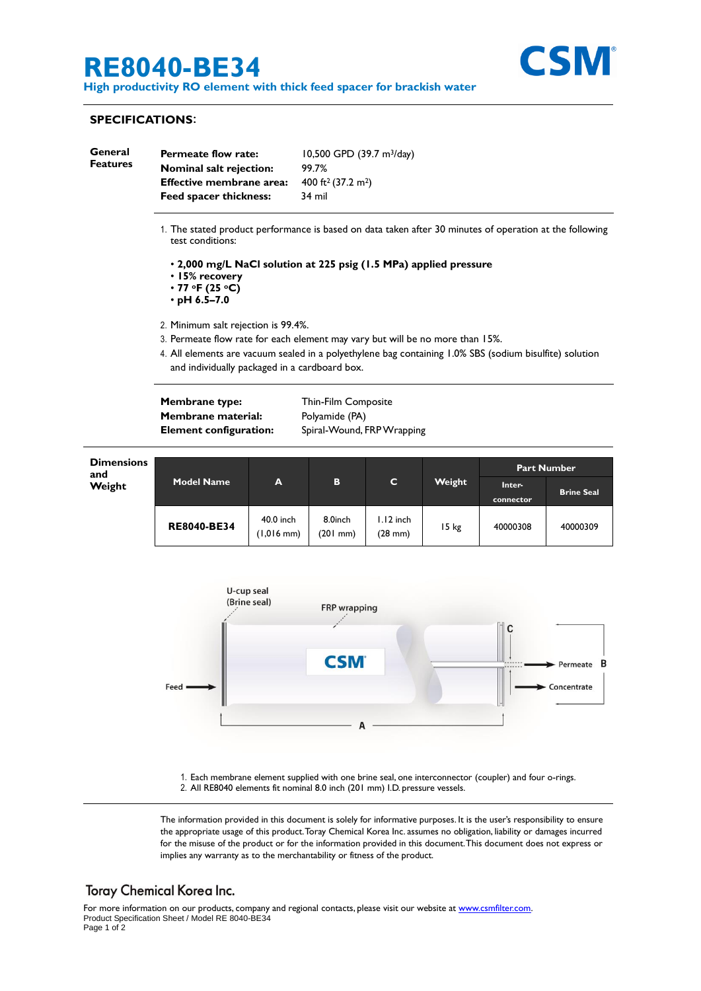## **RE8040-BE34**



**High productivity RO element with thick feed spacer for brackish water**

### **SPECIFICATIONS**:

| General<br><b>Features</b> | <b>Permeate flow rate:</b>      | 10,500 GPD $(39.7 \text{ m}^3/\text{day})$ |
|----------------------------|---------------------------------|--------------------------------------------|
|                            | Nominal salt rejection:         | 99.7%                                      |
|                            | <b>Effective membrane area:</b> | 400 ft <sup>2</sup> (37.2 m <sup>2</sup> ) |
|                            | <b>Feed spacer thickness:</b>   | 34 mil                                     |
|                            |                                 |                                            |

- 1. The stated product performance is based on data taken after 30 minutes of operation at the following test conditions:
	- **2,000 mg/L NaCl solution at 225 psig (1.5 MPa) applied pressure**
	- **15% recovery**
	- **77 oF (25 oC)**
	- **pH 6.5–7.0**
- 2. Minimum salt rejection is 99.4%.
- 3. Permeate flow rate for each element may vary but will be no more than 15%.
- 4. All elements are vacuum sealed in a polyethylene bag containing 1.0% SBS (sodium bisulfite) solution and individually packaged in a cardboard box.

**Membrane type:** Thin-Film Composite **Membrane material:** Polyamide (PA)

**Element configuration:** Spiral-Wound, FRP Wrapping





1. Each membrane element supplied with one brine seal, one interconnector (coupler) and four o-rings. 2. All RE8040 elements fit nominal 8.0 inch (201 mm) I.D. pressure vessels.

The information provided in this document is solely for informative purposes. It is the user's responsibility to ensure the appropriate usage of this product.Toray Chemical Korea Inc. assumes no obligation, liability or damages incurred for the misuse of the product or for the information provided in this document.This document does not express or implies any warranty as to the merchantability or fitness of the product.

### **Toray Chemical Korea Inc.**

For more information on our products, company and regional contacts, please visit our website at [www.csmfilter.com.](http://www.csmfilter.com/) Product Specification Sheet / Model RE 8040-BE34 Page 1 of 2